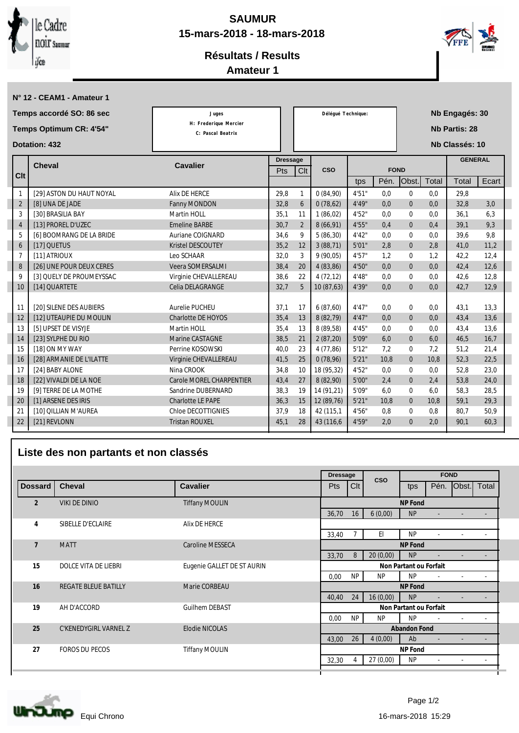

**N° 12 - CEAM1 - Amateur 1**

## **SAUMUR 15-mars-2018 - 18-mars-2018**



## **Résultats / Results**

**Amateur 1**

| Temps accordé SO: 86 sec<br>Temps Optimum CR: 4'54" |                          | Juges                                      |                 | Déléqué Technique: |            |        | Nb Engagés: 30 |                      |       |                |       |
|-----------------------------------------------------|--------------------------|--------------------------------------------|-----------------|--------------------|------------|--------|----------------|----------------------|-------|----------------|-------|
|                                                     |                          | H: Frederique Mercier<br>C: Pascal Beatrix |                 |                    |            |        |                | <b>Nb Partis: 28</b> |       |                |       |
| <b>Dotation: 432</b>                                |                          |                                            |                 |                    |            |        |                |                      |       | Nb Classés: 10 |       |
|                                                     | Cheval                   | <b>Cavalier</b>                            | <b>Dressage</b> |                    |            |        |                |                      |       | <b>GENERAL</b> |       |
| Clt                                                 |                          |                                            | Pts             | Clt                | <b>CSO</b> |        | <b>FOND</b>    |                      |       |                |       |
|                                                     |                          |                                            |                 |                    |            | tps    | Pén.           | Obst.                | Total | Total          | Ecart |
| $\mathbf{1}$                                        | [29] ASTON DU HAUT NOYAL | <b>Alix DE HERCE</b>                       | 29,8            | $\mathbf{1}$       | 0(84,90)   | 4'51"  | 0,0            | $\mathbf{0}$         | 0,0   | 29.8           |       |
| $\sqrt{2}$                                          | [8] UNA DE JADE          | Fanny MONDON                               | 32,8            | $6\phantom{.}6$    | 0(78,62)   | 4'49'' | 0.0            | $\mathbf{0}$         | 0.0   | 32,8           | 3.0   |
| 3                                                   | [30] BRASILIA BAY        | Martin HOLL                                | 35,1            | 11                 | 1(86,02)   | 4'52"  | 0.0            | $\mathbf{0}$         | 0.0   | 36.1           | 6,3   |
| $\overline{4}$                                      | [13] PROREL D'UZEC       | <b>Emeline BARBE</b>                       | 30,7            | $\overline{2}$     | 8(66,91)   | 4'55"  | 0.4            | $\mathbf{0}$         | 0,4   | 39.1           | 9,3   |
| 5                                                   | [6] BOOMRANG DE LA BRIDE | Auriane COIGNARD                           | 34,6            | 9                  | 5(86,30)   | 4'42"  | 0.0            | $\mathbf{0}$         | 0,0   | 39.6           | 9,8   |
| $6\phantom{1}6$                                     | [17] QUETUS              | <b>Kristel DESCOUTEY</b>                   | 35,2            | 12                 | 3(88,71)   | 5'01"  | 2,8            | $\mathbf{0}$         | 2.8   | 41.0           | 11,2  |
| $\overline{7}$                                      | [11] ATRIOUX             | Leo SCHAAR                                 | 32,0            | 3                  | 9(90,05)   | 4'57"  | 1.2            | $\mathbf{0}$         | 1.2   | 42,2           | 12,4  |
| 8                                                   | [26] UNE POUR DEUX CERES | Veera SOMERSALMI                           | 38,4            | 20                 | 4(83,86)   | 4'50"  | 0.0            | $\mathbf{0}$         | 0.0   | 42.4           | 12.6  |
| 9                                                   | [3] QUELY DE PROUMEYSSAC | Virginie CHEVALLEREAU                      | 38,6            | 22                 | 4(72,12)   | 4'48'' | 0.0            | $\bf{0}$             | 0.0   | 42.6           | 12,8  |
| 10                                                  | [14] QUARTETE            | Celia DELAGRANGE                           | 32,7            | $5\overline{)}$    | 10 (87,63) | 4'39"  | 0,0            | $\Omega$             | 0.0   | 42.7           | 12,9  |
|                                                     |                          |                                            |                 |                    |            |        |                |                      |       |                |       |
| 11                                                  | [20] SILENE DES AUBIERS  | Aurelie PUCHEU                             | 37.1            | 17                 | 6(87,60)   | 4'47'' | 0.0            | $\mathbf{0}$         | 0.0   | 43.1           | 13,3  |
| 12                                                  | [12] UTEAUPIE DU MOULIN  | <b>Charlotte DE HOYOS</b>                  | 35,4            | 13                 | 8 (82,79)  | 4'47'' | 0,0            | $\boldsymbol{0}$     | 0,0   | 43,4           | 13,6  |
| 13                                                  | [5] UPSET DE VISYJE      | Martin HOLL                                | 35.4            | 13                 | 8 (89.58)  | 4'45'' | 0.0            | $\mathbf{0}$         | 0.0   | 43.4           | 13.6  |
| 14                                                  | [23] SYLPHE DU RIO       | Marine CASTAGNE                            | 38,5            | 21                 | 2(87,20)   | 5'09'' | 6,0            | $\bf{0}$             | 6,0   | 46,5           | 16,7  |
| 15                                                  | [18] ON MY WAY           | Perrine KOSOWSKI                           | 40.0            | 23                 | 4 (77,86)  | 5'12"  | 7.2            | $\mathbf{0}$         | 7.2   | 51.2           | 21.4  |
| 16                                                  | [28] ARMANIE DE L'ILATTE | Virginie CHEVALLEREAU                      | 41,5            | 25                 | 0(78,96)   | 5'21'' | 10.8           | $\mathbf{0}$         | 10.8  | 52.3           | 22,5  |
| 17                                                  | [24] BABY ALONE          | Nina CROOK                                 | 34,8            | 10                 | 18 (95,32) | 4'52"  | 0.0            | $\bf{0}$             | 0.0   | 52.8           | 23,0  |
| 18                                                  | [22] VIVALDI DE LA NOE   | <b>Carole MOREL CHARPENTIER</b>            | 43,4            | 27                 | 8 (82,90)  | 5'00"  | 2,4            | $\boldsymbol{0}$     | 2,4   | 53,8           | 24,0  |
| 19                                                  | [9] TERRE DE LA MOTHE    | Sandrine DUBERNARD                         | 38,3            | 19                 | 14 (91,21) | 5'09'' | 6.0            | $\Omega$             | 6.0   | 58.3           | 28,5  |
| 20                                                  | [1] ARSENE DES IRIS      | <b>Charlotte LE PAPE</b>                   | 36,3            | 15                 | 12 (89.76) | 5'21'' | 10.8           | $\boldsymbol{0}$     | 10.8  | 59.1           | 29,3  |
| 21                                                  | [10] QILLIAN M'AUREA     | <b>Chloe DECOTTIGNIES</b>                  | 37,9            | 18                 | 42 (115,1) | 4'56"  | 0.8            | $\bf{0}$             | 0.8   | 80.7           | 50,9  |
| 22                                                  | [21] REVLONN             | <b>Tristan ROUXEL</b>                      | 45,1            | 28                 | 43 (116,6) | 4'59"  | 2,0            | $\mathbf{0}$         | 2.0   | 90,1           | 60,3  |

## **Liste des non partants et non classés**

|                | <b>Cheval</b>                          | <b>Cavalier</b>            |       | <b>Dressage</b>        |            | <b>FOND</b> |                          |                          |                          |  |  |
|----------------|----------------------------------------|----------------------------|-------|------------------------|------------|-------------|--------------------------|--------------------------|--------------------------|--|--|
| Dossard        |                                        |                            | Pts   | C <sub>It</sub>        | <b>CSO</b> | tps         | Pén.                     | <sub>Obst.</sub>         | Total                    |  |  |
| $\overline{2}$ | <b>Tiffany MOULIN</b><br>VIKI DE DINIO |                            |       | NP Fond                |            |             |                          |                          |                          |  |  |
|                |                                        |                            | 36,70 | 16                     | 6(0,00)    | NP          | $\overline{\phantom{0}}$ |                          |                          |  |  |
| 4              | <b>SIBELLE D'ECLAIRE</b>               | <b>Alix DE HERCE</b>       |       |                        |            |             |                          |                          |                          |  |  |
|                |                                        |                            | 33,40 |                        | El         | NP          | $\blacksquare$           |                          |                          |  |  |
| $\overline{7}$ | <b>MATT</b>                            | <b>Caroline MESSECA</b>    |       | NP Fond                |            |             |                          |                          |                          |  |  |
|                |                                        |                            | 33,70 | 8                      | 20(0,00)   | NP          | $\overline{\phantom{a}}$ |                          |                          |  |  |
| 15             | <b>DOLCE VITA DE LIEBRI</b>            | Eugenie GALLET DE ST AURIN |       | Non Partant ou Forfait |            |             |                          |                          |                          |  |  |
|                |                                        |                            | 0,00  | NP                     | NP         | NP          | $\overline{\phantom{a}}$ | $\overline{\phantom{a}}$ | $\sim$                   |  |  |
| 16             | <b>REGATE BLEUE BATILLY</b>            | Marie CORBEAU              |       | NP Fond                |            |             |                          |                          |                          |  |  |
|                |                                        |                            | 40,40 | 24                     | 16(0,00)   | NP          | $\overline{\phantom{a}}$ |                          | $\overline{\phantom{a}}$ |  |  |
| 19             | <b>AH D'ACCORD</b>                     | <b>Guilhem DEBAST</b>      |       | Non Partant ou Forfait |            |             |                          |                          |                          |  |  |
|                |                                        |                            | 0,00  | NP                     | NP         | NP          | $\sim$                   |                          | $\sim$                   |  |  |
| 25             | C'KENEDYGIRL VARNEL Z                  | Elodie NICOLAS             |       | Abandon Fond           |            |             |                          |                          |                          |  |  |
|                |                                        |                            | 43,00 | 26                     | 4(0,00)    | Ab          | $\overline{\phantom{a}}$ |                          |                          |  |  |
| 27             | <b>FOROS DU PECOS</b>                  | <b>Tiffany MOULIN</b>      |       |                        |            | NP Fond     |                          |                          |                          |  |  |
|                |                                        |                            | 32,30 | 4                      | 27(0,00)   | NP          | $\overline{\phantom{a}}$ | $\overline{\phantom{a}}$ | $\overline{\phantom{a}}$ |  |  |
|                |                                        |                            |       |                        |            |             |                          |                          |                          |  |  |